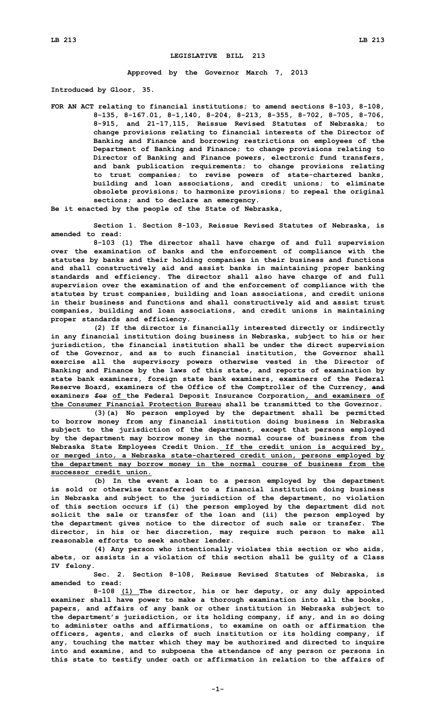## **LEGISLATIVE BILL 213**

**Approved by the Governor March 7, 2013**

**Introduced by Gloor, 35.**

**FOR AN ACT relating to financial institutions; to amend sections 8-103, 8-108, 8-135, 8-167.01, 8-1,140, 8-204, 8-213, 8-355, 8-702, 8-705, 8-706, 8-915, and 21-17,115, Reissue Revised Statutes of Nebraska; to change provisions relating to financial interests of the Director of Banking and Finance and borrowing restrictions on employees of the Department of Banking and Finance; to change provisions relating to Director of Banking and Finance powers, electronic fund transfers, and bank publication requirements; to change provisions relating to trust companies; to revise powers of state-chartered banks, building and loan associations, and credit unions; to eliminate obsolete provisions; to harmonize provisions; to repeal the original sections; and to declare an emergency.**

**Be it enacted by the people of the State of Nebraska,**

**Section 1. Section 8-103, Reissue Revised Statutes of Nebraska, is amended to read:**

**8-103 (1) The director shall have charge of and full supervision over the examination of banks and the enforcement of compliance with the statutes by banks and their holding companies in their business and functions and shall constructively aid and assist banks in maintaining proper banking standards and efficiency. The director shall also have charge of and full supervision over the examination of and the enforcement of compliance with the statutes by trust companies, building and loan associations, and credit unions in their business and functions and shall constructively aid and assist trust companies, building and loan associations, and credit unions in maintaining proper standards and efficiency.**

**(2) If the director is financially interested directly or indirectly in any financial institution doing business in Nebraska, subject to his or her jurisdiction, the financial institution shall be under the direct supervision of the Governor, and as to such financial institution, the Governor shall exercise all the supervisory powers otherwise vested in the Director of Banking and Finance by the laws of this state, and reports of examination by state bank examiners, foreign state bank examiners, examiners of the Federal Reserve Board, examiners of the Office of the Comptroller of the Currency, and examiners for of the Federal Deposit Insurance Corporation, and examiners of the Consumer Financial Protection Bureau shall be transmitted to the Governor.**

**(3)(a) No person employed by the department shall be permitted to borrow money from any financial institution doing business in Nebraska subject to the jurisdiction of the department, except that persons employed by the department may borrow money in the normal course of business from the Nebraska State Employees Credit Union. If the credit union is acquired by, or merged into, <sup>a</sup> Nebraska state-chartered credit union, persons employed by the department may borrow money in the normal course of business from the successor credit union.**

**(b) In the event <sup>a</sup> loan to <sup>a</sup> person employed by the department is sold or otherwise transferred to <sup>a</sup> financial institution doing business in Nebraska and subject to the jurisdiction of the department, no violation of this section occurs if (i) the person employed by the department did not solicit the sale or transfer of the loan and (ii) the person employed by the department gives notice to the director of such sale or transfer. The director, in his or her discretion, may require such person to make all reasonable efforts to seek another lender.**

**(4) Any person who intentionally violates this section or who aids, abets, or assists in <sup>a</sup> violation of this section shall be guilty of <sup>a</sup> Class IV felony.**

**Sec. 2. Section 8-108, Reissue Revised Statutes of Nebraska, is amended to read:**

**8-108 (1) The director, his or her deputy, or any duly appointed examiner shall have power to make <sup>a</sup> thorough examination into all the books, papers, and affairs of any bank or other institution in Nebraska subject to the department's jurisdiction, or its holding company, if any, and in so doing to administer oaths and affirmations, to examine on oath or affirmation the officers, agents, and clerks of such institution or its holding company, if any, touching the matter which they may be authorized and directed to inquire into and examine, and to subpoena the attendance of any person or persons in this state to testify under oath or affirmation in relation to the affairs of**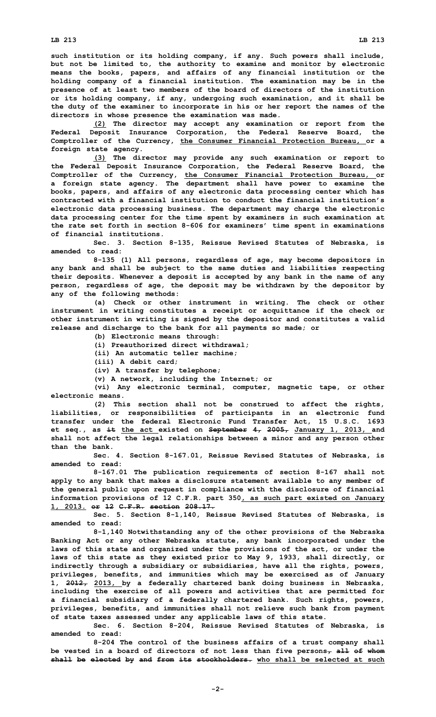**such institution or its holding company, if any. Such powers shall include, but not be limited to, the authority to examine and monitor by electronic means the books, papers, and affairs of any financial institution or the holding company of <sup>a</sup> financial institution. The examination may be in the presence of at least two members of the board of directors of the institution or its holding company, if any, undergoing such examination, and it shall be the duty of the examiner to incorporate in his or her report the names of the directors in whose presence the examination was made.**

**(2) The director may accept any examination or report from the Federal Deposit Insurance Corporation, the Federal Reserve Board, the Comptroller of the Currency, the Consumer Financial Protection Bureau, or <sup>a</sup> foreign state agency.**

**(3) The director may provide any such examination or report to the Federal Deposit Insurance Corporation, the Federal Reserve Board, the Comptroller of the Currency, the Consumer Financial Protection Bureau, or <sup>a</sup> foreign state agency. The department shall have power to examine the books, papers, and affairs of any electronic data processing center which has contracted with a financial institution to conduct the financial institution's electronic data processing business. The department may charge the electronic data processing center for the time spent by examiners in such examination at the rate set forth in section 8-606 for examiners' time spent in examinations of financial institutions.**

**Sec. 3. Section 8-135, Reissue Revised Statutes of Nebraska, is amended to read:**

**8-135 (1) All persons, regardless of age, may become depositors in any bank and shall be subject to the same duties and liabilities respecting their deposits. Whenever <sup>a</sup> deposit is accepted by any bank in the name of any person, regardless of age, the deposit may be withdrawn by the depositor by any of the following methods:**

**(a) Check or other instrument in writing. The check or other instrument in writing constitutes <sup>a</sup> receipt or acquittance if the check or other instrument in writing is signed by the depositor and constitutes <sup>a</sup> valid release and discharge to the bank for all payments so made; or**

**(b) Electronic means through:**

**(i) Preauthorized direct withdrawal;**

**(ii) An automatic teller machine;**

**(iii) A debit card;**

**(iv) <sup>A</sup> transfer by telephone;**

**(v) <sup>A</sup> network, including the Internet; or**

**(vi) Any electronic terminal, computer, magnetic tape, or other electronic means.**

**(2) This section shall not be construed to affect the rights, liabilities, or responsibilities of participants in an electronic fund transfer under the federal Electronic Fund Transfer Act, 15 U.S.C. 1693 et seq., as it the act existed on September 4, 2005, January 1, 2013, and shall not affect the legal relationships between <sup>a</sup> minor and any person other than the bank.**

**Sec. 4. Section 8-167.01, Reissue Revised Statutes of Nebraska, is amended to read:**

**8-167.01 The publication requirements of section 8-167 shall not apply to any bank that makes <sup>a</sup> disclosure statement available to any member of the general public upon request in compliance with the disclosure of financial information provisions of 12 C.F.R. part 350, as such part existed on January 1, 2013. or 12 C.F.R. section 208.17.**

**Sec. 5. Section 8-1,140, Reissue Revised Statutes of Nebraska, is amended to read:**

**8-1,140 Notwithstanding any of the other provisions of the Nebraska Banking Act or any other Nebraska statute, any bank incorporated under the laws of this state and organized under the provisions of the act, or under the laws of this state as they existed prior to May 9, 1933, shall directly, or indirectly through <sup>a</sup> subsidiary or subsidiaries, have all the rights, powers, privileges, benefits, and immunities which may be exercised as of January 1, 2012, 2013, by <sup>a</sup> federally chartered bank doing business in Nebraska, including the exercise of all powers and activities that are permitted for <sup>a</sup> financial subsidiary of <sup>a</sup> federally chartered bank. Such rights, powers, privileges, benefits, and immunities shall not relieve such bank from payment of state taxes assessed under any applicable laws of this state.**

**Sec. 6. Section 8-204, Reissue Revised Statutes of Nebraska, is amended to read:**

**8-204 The control of the business affairs of <sup>a</sup> trust company shall be vested in <sup>a</sup> board of directors of not less than five persons, all of whom shall be elected by and from its stockholders. who shall be selected at such**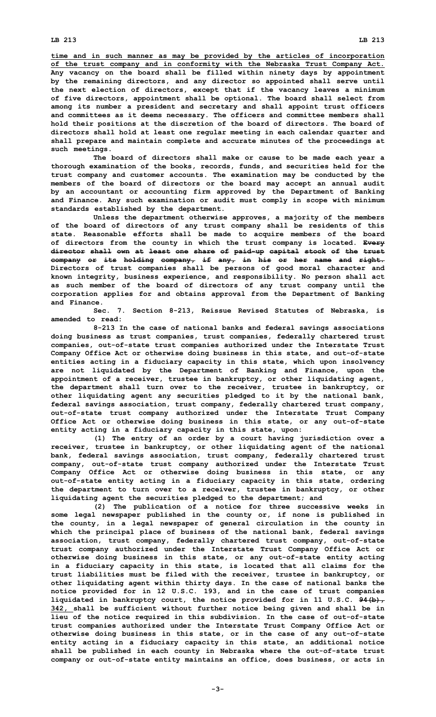**time and in such manner as may be provided by the articles of incorporation of the trust company and in conformity with the Nebraska Trust Company Act. Any vacancy on the board shall be filled within ninety days by appointment by the remaining directors, and any director so appointed shall serve until the next election of directors, except that if the vacancy leaves <sup>a</sup> minimum of five directors, appointment shall be optional. The board shall select from among its number <sup>a</sup> president and secretary and shall appoint trust officers and committees as it deems necessary. The officers and committee members shall hold their positions at the discretion of the board of directors. The board of directors shall hold at least one regular meeting in each calendar quarter and shall prepare and maintain complete and accurate minutes of the proceedings at such meetings.**

**The board of directors shall make or cause to be made each year <sup>a</sup> thorough examination of the books, records, funds, and securities held for the trust company and customer accounts. The examination may be conducted by the members of the board of directors or the board may accept an annual audit by an accountant or accounting firm approved by the Department of Banking and Finance. Any such examination or audit must comply in scope with minimum standards established by the department.**

**Unless the department otherwise approves, <sup>a</sup> majority of the members of the board of directors of any trust company shall be residents of this state. Reasonable efforts shall be made to acquire members of the board of directors from the county in which the trust company is located. Every director shall own at least one share of paid-up capital stock of the trust company or its holding company, if any, in his or her name and right. Directors of trust companies shall be persons of good moral character and known integrity, business experience, and responsibility. No person shall act as such member of the board of directors of any trust company until the corporation applies for and obtains approval from the Department of Banking and Finance.**

**Sec. 7. Section 8-213, Reissue Revised Statutes of Nebraska, is amended to read:**

**8-213 In the case of national banks and federal savings associations doing business as trust companies, trust companies, federally chartered trust companies, out-of-state trust companies authorized under the Interstate Trust Company Office Act or otherwise doing business in this state, and out-of-state entities acting in <sup>a</sup> fiduciary capacity in this state, which upon insolvency are not liquidated by the Department of Banking and Finance, upon the appointment of <sup>a</sup> receiver, trustee in bankruptcy, or other liquidating agent, the department shall turn over to the receiver, trustee in bankruptcy, or other liquidating agent any securities pledged to it by the national bank, federal savings association, trust company, federally chartered trust company, out-of-state trust company authorized under the Interstate Trust Company Office Act or otherwise doing business in this state, or any out-of-state entity acting in <sup>a</sup> fiduciary capacity in this state, upon:**

**(1) The entry of an order by <sup>a</sup> court having jurisdiction over <sup>a</sup> receiver, trustee in bankruptcy, or other liquidating agent of the national bank, federal savings association, trust company, federally chartered trust company, out-of-state trust company authorized under the Interstate Trust Company Office Act or otherwise doing business in this state, or any out-of-state entity acting in <sup>a</sup> fiduciary capacity in this state, ordering the department to turn over to <sup>a</sup> receiver, trustee in bankruptcy, or other liquidating agent the securities pledged to the department; and**

**(2) The publication of <sup>a</sup> notice for three successive weeks in some legal newspaper published in the county or, if none is published in the county, in <sup>a</sup> legal newspaper of general circulation in the county in which the principal place of business of the national bank, federal savings association, trust company, federally chartered trust company, out-of-state trust company authorized under the Interstate Trust Company Office Act or otherwise doing business in this state, or any out-of-state entity acting in <sup>a</sup> fiduciary capacity in this state, is located that all claims for the trust liabilities must be filed with the receiver, trustee in bankruptcy, or other liquidating agent within thirty days. In the case of national banks the notice provided for in 12 U.S.C. 193, and in the case of trust companies liquidated in bankruptcy court, the notice provided for in 11 U.S.C. 94(b), 342, shall be sufficient without further notice being given and shall be in lieu of the notice required in this subdivision. In the case of out-of-state trust companies authorized under the Interstate Trust Company Office Act or otherwise doing business in this state, or in the case of any out-of-state entity acting in <sup>a</sup> fiduciary capacity in this state, an additional notice shall be published in each county in Nebraska where the out-of-state trust company or out-of-state entity maintains an office, does business, or acts in**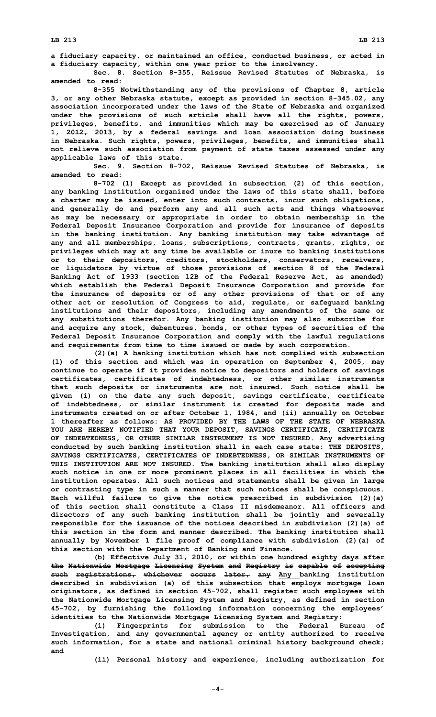**<sup>a</sup> fiduciary capacity, or maintained an office, conducted business, or acted in <sup>a</sup> fiduciary capacity, within one year prior to the insolvency.**

**Sec. 8. Section 8-355, Reissue Revised Statutes of Nebraska, is amended to read:**

**8-355 Notwithstanding any of the provisions of Chapter 8, article 3, or any other Nebraska statute, except as provided in section 8-345.02, any association incorporated under the laws of the State of Nebraska and organized under the provisions of such article shall have all the rights, powers, privileges, benefits, and immunities which may be exercised as of January 1, 2012, 2013, by <sup>a</sup> federal savings and loan association doing business in Nebraska. Such rights, powers, privileges, benefits, and immunities shall not relieve such association from payment of state taxes assessed under any applicable laws of this state.**

**Sec. 9. Section 8-702, Reissue Revised Statutes of Nebraska, is amended to read:**

**8-702 (1) Except as provided in subsection (2) of this section, any banking institution organized under the laws of this state shall, before <sup>a</sup> charter may be issued, enter into such contracts, incur such obligations, and generally do and perform any and all such acts and things whatsoever as may be necessary or appropriate in order to obtain membership in the Federal Deposit Insurance Corporation and provide for insurance of deposits in the banking institution. Any banking institution may take advantage of any and all memberships, loans, subscriptions, contracts, grants, rights, or privileges which may at any time be available or inure to banking institutions or to their depositors, creditors, stockholders, conservators, receivers, or liquidators by virtue of those provisions of section 8 of the Federal Banking Act of 1933 (section 12B of the Federal Reserve Act, as amended) which establish the Federal Deposit Insurance Corporation and provide for the insurance of deposits or of any other provisions of that or of any other act or resolution of Congress to aid, regulate, or safeguard banking institutions and their depositors, including any amendments of the same or any substitutions therefor. Any banking institution may also subscribe for and acquire any stock, debentures, bonds, or other types of securities of the Federal Deposit Insurance Corporation and comply with the lawful regulations and requirements from time to time issued or made by such corporation.**

**(2)(a) <sup>A</sup> banking institution which has not complied with subsection (1) of this section and which was in operation on September 4, 2005, may continue to operate if it provides notice to depositors and holders of savings certificates, certificates of indebtedness, or other similar instruments that such deposits or instruments are not insured. Such notice shall be given (i) on the date any such deposit, savings certificate, certificate of indebtedness, or similar instrument is created for deposits made and instruments created on or after October 1, 1984, and (ii) annually on October 1 thereafter as follows: AS PROVIDED BY THE LAWS OF THE STATE OF NEBRASKA YOU ARE HEREBY NOTIFIED THAT YOUR DEPOSIT, SAVINGS CERTIFICATE, CERTIFICATE OF INDEBTEDNESS, OR OTHER SIMILAR INSTRUMENT IS NOT INSURED. Any advertising conducted by such banking institution shall in each case state: THE DEPOSITS, SAVINGS CERTIFICATES, CERTIFICATES OF INDEBTEDNESS, OR SIMILAR INSTRUMENTS OF THIS INSTITUTION ARE NOT INSURED. The banking institution shall also display such notice in one or more prominent places in all facilities in which the institution operates. All such notices and statements shall be given in large or contrasting type in such <sup>a</sup> manner that such notices shall be conspicuous. Each willful failure to give the notice prescribed in subdivision (2)(a) of this section shall constitute a Class II misdemeanor. All officers and directors of any such banking institution shall be jointly and severally responsible for the issuance of the notices described in subdivision (2)(a) of this section in the form and manner described. The banking institution shall annually by November 1 file proof of compliance with subdivision (2)(a) of this section with the Department of Banking and Finance.**

**(b) Effective July 31, 2010, or within one hundred eighty days after the Nationwide Mortgage Licensing System and Registry is capable of accepting such registrations, whichever occurs later, any Any banking institution described in subdivision (a) of this subsection that employs mortgage loan originators, as defined in section 45-702, shall register such employees with the Nationwide Mortgage Licensing System and Registry, as defined in section 45-702, by furnishing the following information concerning the employees' identities to the Nationwide Mortgage Licensing System and Registry:**

**(i) Fingerprints for submission to the Federal Bureau of Investigation, and any governmental agency or entity authorized to receive such information, for <sup>a</sup> state and national criminal history background check; and**

**(ii) Personal history and experience, including authorization for**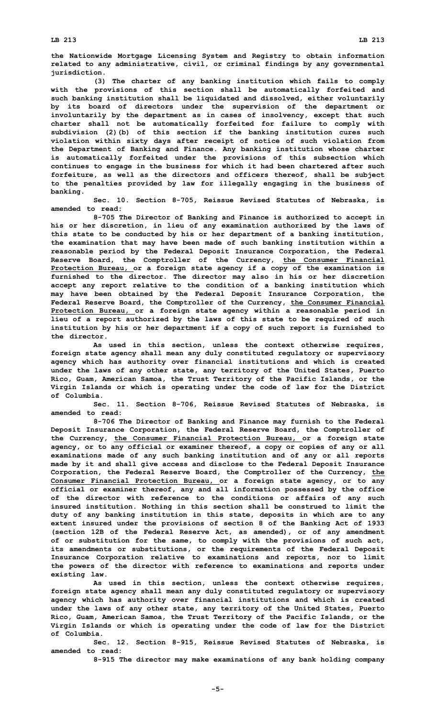**the Nationwide Mortgage Licensing System and Registry to obtain information related to any administrative, civil, or criminal findings by any governmental jurisdiction.**

**(3) The charter of any banking institution which fails to comply with the provisions of this section shall be automatically forfeited and such banking institution shall be liquidated and dissolved, either voluntarily by its board of directors under the supervision of the department or involuntarily by the department as in cases of insolvency, except that such charter shall not be automatically forfeited for failure to comply with subdivision (2)(b) of this section if the banking institution cures such violation within sixty days after receipt of notice of such violation from the Department of Banking and Finance. Any banking institution whose charter is automatically forfeited under the provisions of this subsection which continues to engage in the business for which it had been chartered after such forfeiture, as well as the directors and officers thereof, shall be subject to the penalties provided by law for illegally engaging in the business of banking.**

**Sec. 10. Section 8-705, Reissue Revised Statutes of Nebraska, is amended to read:**

**8-705 The Director of Banking and Finance is authorized to accept in his or her discretion, in lieu of any examination authorized by the laws of this state to be conducted by his or her department of <sup>a</sup> banking institution, the examination that may have been made of such banking institution within <sup>a</sup> reasonable period by the Federal Deposit Insurance Corporation, the Federal Reserve Board, the Comptroller of the Currency, the Consumer Financial Protection Bureau, or <sup>a</sup> foreign state agency if <sup>a</sup> copy of the examination is furnished to the director. The director may also in his or her discretion accept any report relative to the condition of <sup>a</sup> banking institution which may have been obtained by the Federal Deposit Insurance Corporation, the Federal Reserve Board, the Comptroller of the Currency, the Consumer Financial Protection Bureau, or <sup>a</sup> foreign state agency within <sup>a</sup> reasonable period in lieu of <sup>a</sup> report authorized by the laws of this state to be required of such institution by his or her department if <sup>a</sup> copy of such report is furnished to the director.**

**As used in this section, unless the context otherwise requires, foreign state agency shall mean any duly constituted regulatory or supervisory agency which has authority over financial institutions and which is created under the laws of any other state, any territory of the United States, Puerto Rico, Guam, American Samoa, the Trust Territory of the Pacific Islands, or the Virgin Islands or which is operating under the code of law for the District of Columbia.**

**Sec. 11. Section 8-706, Reissue Revised Statutes of Nebraska, is amended to read:**

**8-706 The Director of Banking and Finance may furnish to the Federal Deposit Insurance Corporation, the Federal Reserve Board, the Comptroller of the Currency, the Consumer Financial Protection Bureau, or <sup>a</sup> foreign state agency, or to any official or examiner thereof, <sup>a</sup> copy or copies of any or all examinations made of any such banking institution and of any or all reports made by it and shall give access and disclose to the Federal Deposit Insurance Corporation, the Federal Reserve Board, the Comptroller of the Currency, the Consumer Financial Protection Bureau, or <sup>a</sup> foreign state agency, or to any official or examiner thereof, any and all information possessed by the office of the director with reference to the conditions or affairs of any such insured institution. Nothing in this section shall be construed to limit the duty of any banking institution in this state, deposits in which are to any extent insured under the provisions of section 8 of the Banking Act of 1933 (section 12B of the Federal Reserve Act, as amended), or of any amendment of or substitution for the same, to comply with the provisions of such act, its amendments or substitutions, or the requirements of the Federal Deposit Insurance Corporation relative to examinations and reports, nor to limit the powers of the director with reference to examinations and reports under existing law.**

**As used in this section, unless the context otherwise requires, foreign state agency shall mean any duly constituted regulatory or supervisory agency which has authority over financial institutions and which is created under the laws of any other state, any territory of the United States, Puerto Rico, Guam, American Samoa, the Trust Territory of the Pacific Islands, or the Virgin Islands or which is operating under the code of law for the District of Columbia.**

**Sec. 12. Section 8-915, Reissue Revised Statutes of Nebraska, is amended to read:**

**8-915 The director may make examinations of any bank holding company**